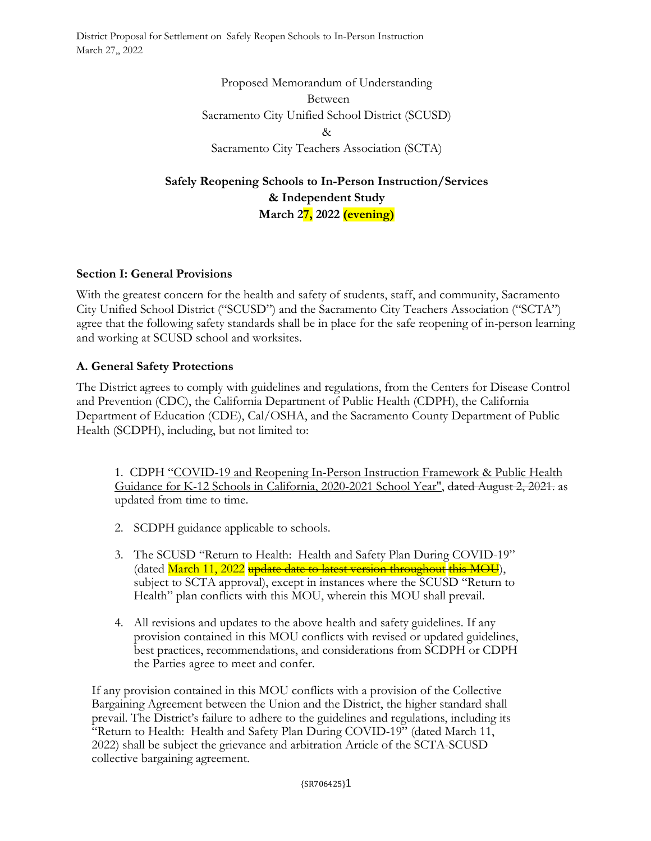> Proposed Memorandum of Understanding Between Sacramento City Unified School District (SCUSD) & Sacramento City Teachers Association (SCTA)

# **Safely Reopening Schools to In-Person Instruction/Services & Independent Study March 27, 2022 (evening)**

### **Section I: General Provisions**

With the greatest concern for the health and safety of students, staff, and community, Sacramento City Unified School District ("SCUSD") and the Sacramento City Teachers Association ("SCTA") agree that the following safety standards shall be in place for the safe reopening of in-person learning and working at SCUSD school and worksites.

### **A. General Safety Protections**

The District agrees to comply with guidelines and regulations, from the Centers for Disease Control and Prevention (CDC), the California Department of Public Health (CDPH), the California Department of Education (CDE), Cal/OSHA, and the Sacramento County Department of Public Health (SCDPH), including, but not limited to:

1. CDPH "COVID-19 and Reopening In-Person Instruction Framework & Public Health Guidance for K-12 Schools in California, 2020-2021 School Year", dated August 2, 2021. as updated from time to time.

- 2. SCDPH guidance applicable to schools.
- 3. The SCUSD "Return to Health: Health and Safety Plan During COVID-19" (dated March 11, 2022 update date to latest version throughout this MOU), subject to SCTA approval), except in instances where the SCUSD "Return to Health" plan conflicts with this MOU, wherein this MOU shall prevail.
- 4. All revisions and updates to the above health and safety guidelines. If any provision contained in this MOU conflicts with revised or updated guidelines, best practices, recommendations, and considerations from SCDPH or CDPH the Parties agree to meet and confer.

If any provision contained in this MOU conflicts with a provision of the Collective Bargaining Agreement between the Union and the District, the higher standard shall prevail. The District's failure to adhere to the guidelines and regulations, including its "Return to Health: Health and Safety Plan During COVID-19" (dated March 11, 2022) shall be subject the grievance and arbitration Article of the SCTA-SCUSD collective bargaining agreement.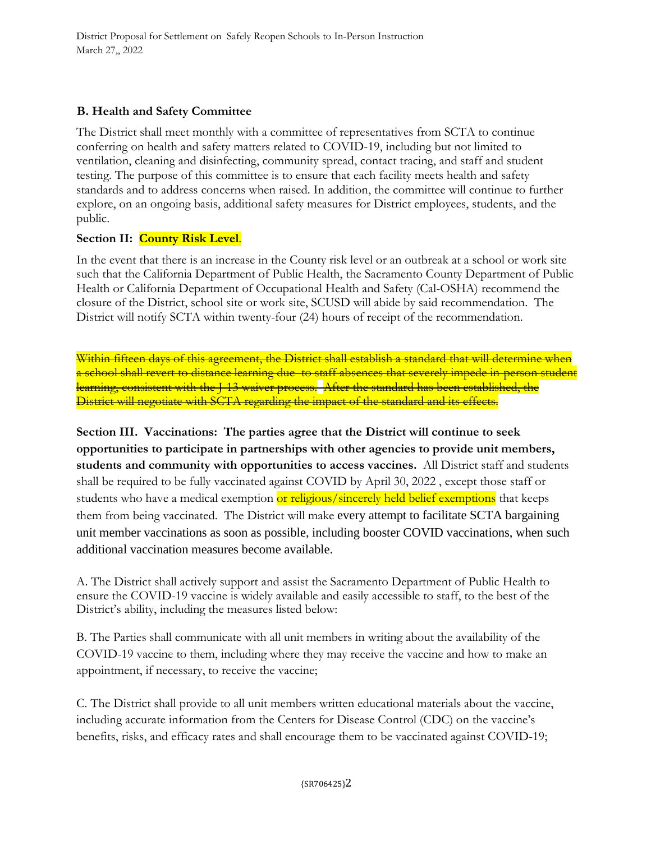### **B. Health and Safety Committee**

The District shall meet monthly with a committee of representatives from SCTA to continue conferring on health and safety matters related to COVID-19, including but not limited to ventilation, cleaning and disinfecting, community spread, contact tracing, and staff and student testing. The purpose of this committee is to ensure that each facility meets health and safety standards and to address concerns when raised. In addition, the committee will continue to further explore, on an ongoing basis, additional safety measures for District employees, students, and the public.

### **Section II: County Risk Level**.

In the event that there is an increase in the County risk level or an outbreak at a school or work site such that the California Department of Public Health, the Sacramento County Department of Public Health or California Department of Occupational Health and Safety (Cal-OSHA) recommend the closure of the District, school site or work site, SCUSD will abide by said recommendation. The District will notify SCTA within twenty-four (24) hours of receipt of the recommendation.

Within fifteen days of this agreement, the District shall establish a standard that will determine when a school shall revert to distance learning due to staff absences that severely impede in-person student learning, consistent with the J-13 waiver process. After the standard has been established, the District will negotiate with SCTA regarding the impact of the standard and its effects.

**Section III. Vaccinations: The parties agree that the District will continue to seek opportunities to participate in partnerships with other agencies to provide unit members, students and community with opportunities to access vaccines.** All District staff and students shall be required to be fully vaccinated against COVID by April 30, 2022 , except those staff or students who have a medical exemption or religious/sincerely held belief exemptions that keeps them from being vaccinated. The District will make every attempt to facilitate SCTA bargaining unit member vaccinations as soon as possible, including booster COVID vaccinations, when such additional vaccination measures become available.

A. The District shall actively support and assist the Sacramento Department of Public Health to ensure the COVID-19 vaccine is widely available and easily accessible to staff, to the best of the District's ability, including the measures listed below:

B. The Parties shall communicate with all unit members in writing about the availability of the COVID-19 vaccine to them, including where they may receive the vaccine and how to make an appointment, if necessary, to receive the vaccine;

C. The District shall provide to all unit members written educational materials about the vaccine, including accurate information from the Centers for Disease Control (CDC) on the vaccine's benefits, risks, and efficacy rates and shall encourage them to be vaccinated against COVID-19;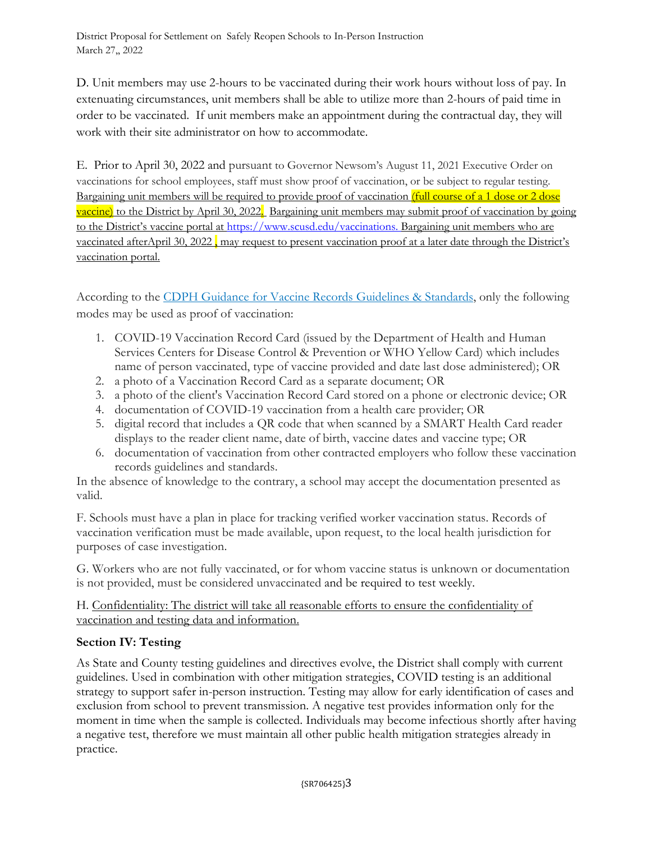D. Unit members may use 2-hours to be vaccinated during their work hours without loss of pay. In extenuating circumstances, unit members shall be able to utilize more than 2-hours of paid time in order to be vaccinated. If unit members make an appointment during the contractual day, they will work with their site administrator on how to accommodate.

E. Prior to April 30, 2022 and pursuant to Governor Newsom's August 11, 2021 Executive Order on vaccinations for school employees, staff must show proof of vaccination, or be subject to regular testing. Bargaining unit members will be required to provide proof of vaccination (full course of a 1 dose or 2 dose vaccine) to the District by April 30, 2022. Bargaining unit members may submit proof of vaccination by going to the District's vaccine portal at [https://www.scusd.edu/vaccinations.](https://www.scusd.edu/vaccinations) Bargaining unit members who are vaccinated afterApril 30, 2022, may request to present vaccination proof at a later date through the District's vaccination portal.

According to the [CDPH Guidance for Vaccine Records Guidelines & Standards,](https://www.cdph.ca.gov/Programs/CID/DCDC/Pages/COVID-19/Vaccine-Record-Guidelines-Standards.aspx) only the following modes may be used as proof of vaccination:

- 1. COVID-19 Vaccination Record Card (issued by the Department of Health and Human Services Centers for Disease Control & Prevention or WHO Yellow Card) which includes name of person vaccinated, type of vaccine provided and date last dose administered); OR
- 2. a photo of a Vaccination Record Card as a separate document; OR
- 3. a photo of the client's Vaccination Record Card stored on a phone or electronic device; OR
- 4. documentation of COVID-19 vaccination from a health care provider; OR
- 5. digital record that includes a QR code that when scanned by a SMART Health Card reader displays to the reader client name, date of birth, vaccine dates and vaccine type; OR
- 6. documentation of vaccination from other contracted employers who follow these vaccination records guidelines and standards.

In the absence of knowledge to the contrary, a school may accept the documentation presented as valid.

F. Schools must have a plan in place for tracking verified worker vaccination status. Records of vaccination verification must be made available, upon request, to the local health jurisdiction for purposes of case investigation.

G. Workers who are not fully vaccinated, or for whom vaccine status is unknown or documentation is not provided, must be considered unvaccinated and be required to test weekly.

H. Confidentiality: The district will take all reasonable efforts to ensure the confidentiality of vaccination and testing data and information.

# **Section IV: Testing**

As State and County testing guidelines and directives evolve, the District shall comply with current guidelines. Used in combination with other mitigation strategies, COVID testing is an additional strategy to support safer in-person instruction. Testing may allow for early identification of cases and exclusion from school to prevent transmission. A negative test provides information only for the moment in time when the sample is collected. Individuals may become infectious shortly after having a negative test, therefore we must maintain all other public health mitigation strategies already in practice.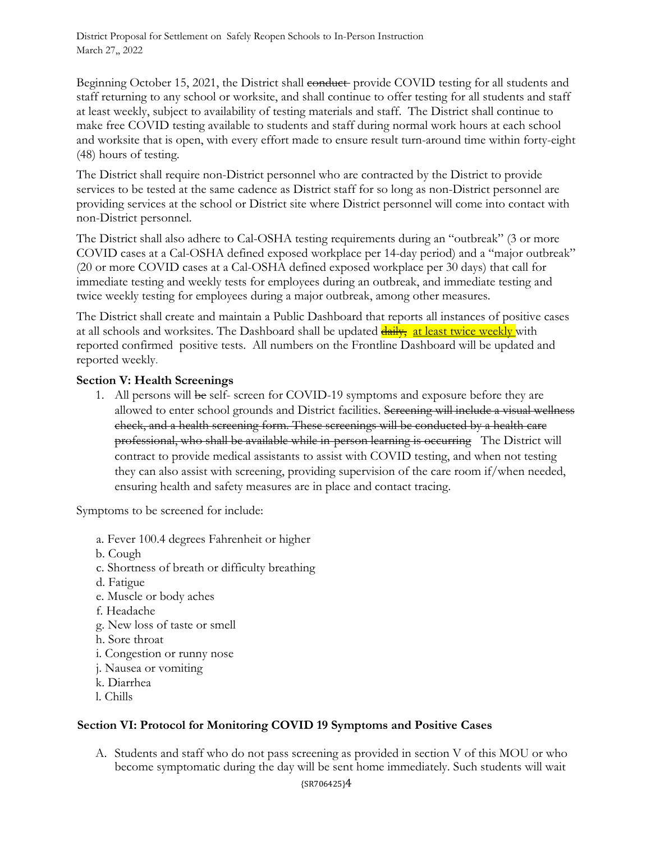Beginning October 15, 2021, the District shall conduct provide COVID testing for all students and staff returning to any school or worksite, and shall continue to offer testing for all students and staff at least weekly, subject to availability of testing materials and staff. The District shall continue to make free COVID testing available to students and staff during normal work hours at each school and worksite that is open, with every effort made to ensure result turn-around time within forty-eight (48) hours of testing.

The District shall require non-District personnel who are contracted by the District to provide services to be tested at the same cadence as District staff for so long as non-District personnel are providing services at the school or District site where District personnel will come into contact with non-District personnel.

The District shall also adhere to Cal-OSHA testing requirements during an "outbreak" (3 or more COVID cases at a Cal-OSHA defined exposed workplace per 14-day period) and a "major outbreak" (20 or more COVID cases at a Cal-OSHA defined exposed workplace per 30 days) that call for immediate testing and weekly tests for employees during an outbreak, and immediate testing and twice weekly testing for employees during a major outbreak, among other measures.

The District shall create and maintain a Public Dashboard that reports all instances of positive cases at all schools and worksites. The Dashboard shall be updated daily, at least twice weekly with reported confirmed positive tests. All numbers on the Frontline Dashboard will be updated and reported weekly.

### **Section V: Health Screenings**

1. All persons will be self- screen for COVID-19 symptoms and exposure before they are allowed to enter school grounds and District facilities. Sereening will include a visual wellness check, and a health screening form. These screenings will be conducted by a health care professional, who shall be available while in-person learning is occurring The District will contract to provide medical assistants to assist with COVID testing, and when not testing they can also assist with screening, providing supervision of the care room if/when needed, ensuring health and safety measures are in place and contact tracing.

Symptoms to be screened for include:

- a. Fever 100.4 degrees Fahrenheit or higher
- b. Cough
- c. Shortness of breath or difficulty breathing
- d. Fatigue
- e. Muscle or body aches
- f. Headache
- g. New loss of taste or smell
- h. Sore throat
- i. Congestion or runny nose
- j. Nausea or vomiting
- k. Diarrhea
- l. Chills

### **Section VI: Protocol for Monitoring COVID 19 Symptoms and Positive Cases**

A. Students and staff who do not pass screening as provided in section V of this MOU or who become symptomatic during the day will be sent home immediately. Such students will wait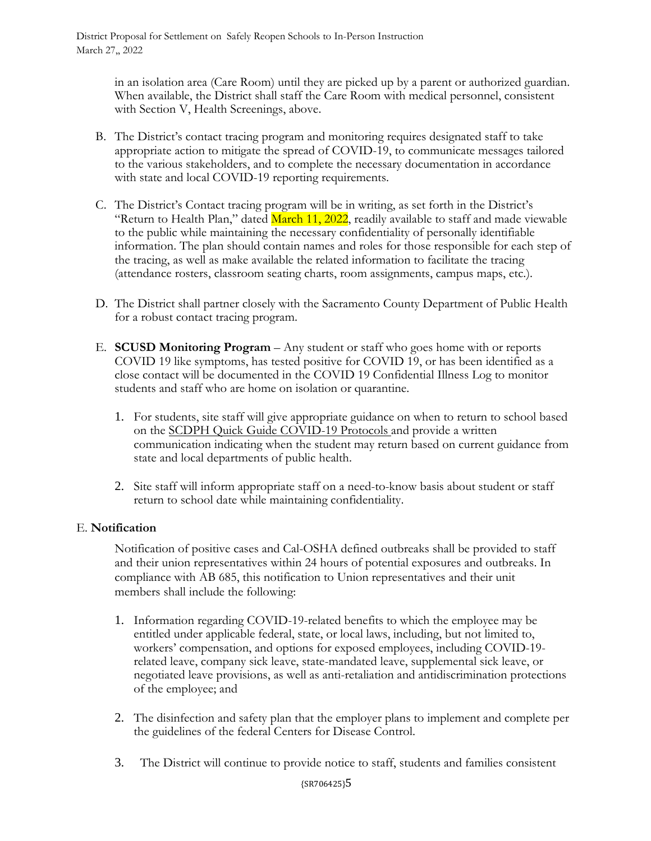in an isolation area (Care Room) until they are picked up by a parent or authorized guardian. When available, the District shall staff the Care Room with medical personnel, consistent with Section V, Health Screenings, above.

- B. The District's contact tracing program and monitoring requires designated staff to take appropriate action to mitigate the spread of COVID-19, to communicate messages tailored to the various stakeholders, and to complete the necessary documentation in accordance with state and local COVID-19 reporting requirements.
- C. The District's Contact tracing program will be in writing, as set forth in the District's "Return to Health Plan," dated  $\overline{\text{March 11, 2022}}$ , readily available to staff and made viewable to the public while maintaining the necessary confidentiality of personally identifiable information. The plan should contain names and roles for those responsible for each step of the tracing, as well as make available the related information to facilitate the tracing (attendance rosters, classroom seating charts, room assignments, campus maps, etc.).
- D. The District shall partner closely with the Sacramento County Department of Public Health for a robust contact tracing program.
- E. **SCUSD Monitoring Program** Any student or staff who goes home with or reports COVID 19 like symptoms, has tested positive for COVID 19, or has been identified as a close contact will be documented in the COVID 19 Confidential Illness Log to monitor students and staff who are home on isolation or quarantine.
	- 1. For students, site staff will give appropriate guidance on when to return to school based on the SCDPH Quick Guide COVID-19 Protocols and provide a written communication indicating when the student may return based on current guidance from state and local departments of public health.
	- 2. Site staff will inform appropriate staff on a need-to-know basis about student or staff return to school date while maintaining confidentiality.

### E. **Notification**

Notification of positive cases and Cal-OSHA defined outbreaks shall be provided to staff and their union representatives within 24 hours of potential exposures and outbreaks. In compliance with AB 685, this notification to Union representatives and their unit members shall include the following:

- 1. Information regarding COVID-19-related benefits to which the employee may be entitled under applicable federal, state, or local laws, including, but not limited to, workers' compensation, and options for exposed employees, including COVID-19 related leave, company sick leave, state-mandated leave, supplemental sick leave, or negotiated leave provisions, as well as anti-retaliation and antidiscrimination protections of the employee; and
- 2. The disinfection and safety plan that the employer plans to implement and complete per the guidelines of the federal Centers for Disease Control.
- 3. The District will continue to provide notice to staff, students and families consistent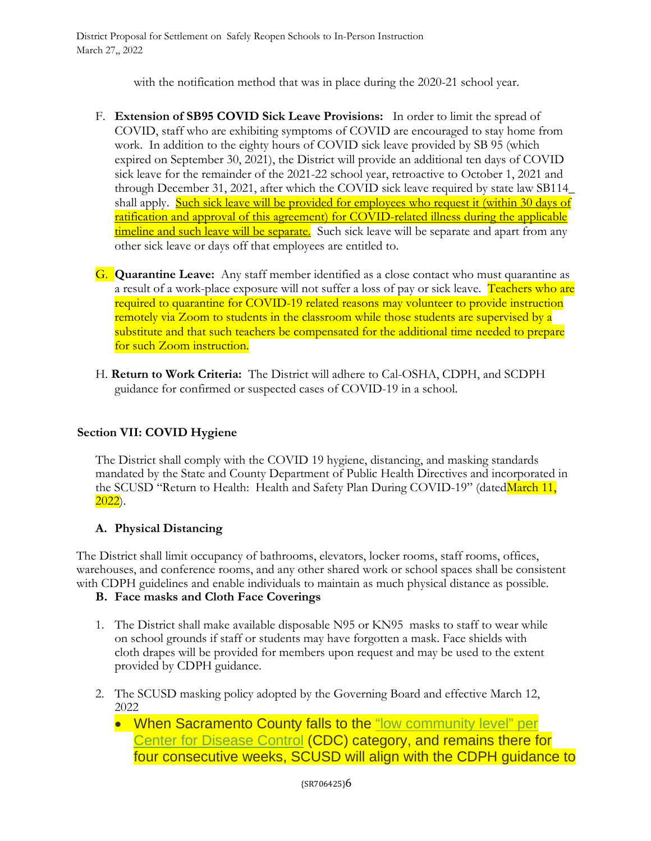with the notification method that was in place during the 2020-21 school year.

- F. **Extension of SB95 COVID Sick Leave Provisions:** In order to limit the spread of COVID, staff who are exhibiting symptoms of COVID are encouraged to stay home from work. In addition to the eighty hours of COVID sick leave provided by SB 95 (which expired on September 30, 2021), the District will provide an additional ten days of COVID sick leave for the remainder of the 2021-22 school year, retroactive to October 1, 2021 and through December 31, 2021, after which the COVID sick leave required by state law SB114\_ shall apply. **Such sick leave will be provided for employees who request it (within 30 days of** ratification and approval of this agreement) for COVID-related illness during the applicable timeline and such leave will be separate. Such sick leave will be separate and apart from any other sick leave or days off that employees are entitled to.
- G. **Quarantine Leave:** Any staff member identified as a close contact who must quarantine as a result of a work-place exposure will not suffer a loss of pay or sick leave. Teachers who are required to quarantine for COVID-19 related reasons may volunteer to provide instruction remotely via Zoom to students in the classroom while those students are supervised by a substitute and that such teachers be compensated for the additional time needed to prepare for such Zoom instruction.
- H. **Return to Work Criteria:** The District will adhere to Cal-OSHA, CDPH, and SCDPH guidance for confirmed or suspected cases of COVID-19 in a school.

# **Section VII: COVID Hygiene**

The District shall comply with the COVID 19 hygiene, distancing, and masking standards mandated by the State and County Department of Public Health Directives and incorporated in the SCUSD "Return to Health: Health and Safety Plan During COVID-19" (dated March 11,  $2022$ ).

### **A. Physical Distancing**

The District shall limit occupancy of bathrooms, elevators, locker rooms, staff rooms, offices, warehouses, and conference rooms, and any other shared work or school spaces shall be consistent with CDPH guidelines and enable individuals to maintain as much physical distance as possible.

### **B. Face masks and Cloth Face Coverings**

- 1. The District shall make available disposable N95 or KN95 masks to staff to wear while on school grounds if staff or students may have forgotten a mask. Face shields with cloth drapes will be provided for members upon request and may be used to the extent provided by CDPH guidance.
- 2. The SCUSD masking policy adopted by the Governing Board and effective March 12, 2022
	- When Sacramento County falls to the "low community level" per [Center for Disease Control](https://www.cdc.gov/coronavirus/2019-ncov/science/community-levels.html) (CDC) category, and remains there for four consecutive weeks, SCUSD will align with the CDPH guidance to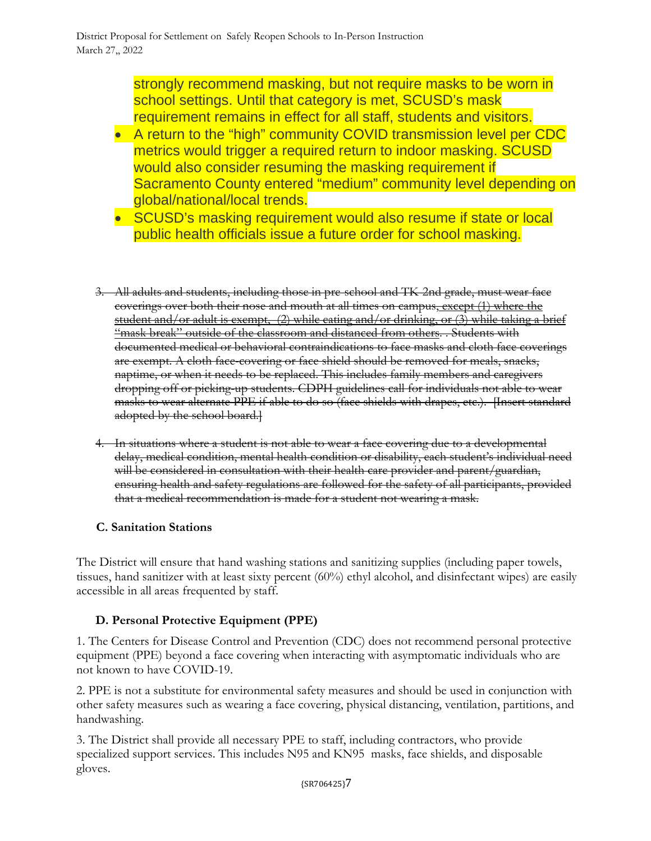strongly recommend masking, but not require masks to be worn in school settings. Until that category is met, SCUSD's mask requirement remains in effect for all staff, students and visitors.

- A return to the "high" community COVID transmission level per CDC metrics would trigger a required return to indoor masking. SCUSD would also consider resuming the masking requirement if Sacramento County entered "medium" community level depending on global/national/local trends.
- SCUSD's masking requirement would also resume if state or local public health officials issue a future order for school masking.
- 3. All adults and students, including those in pre-school and TK-2nd grade, must wear face coverings over both their nose and mouth at all times on campus, except (1) where the student and/or adult is exempt, (2) while eating and/or drinking, or (3) while taking a brief "mask break" outside of the classroom and distanced from others. . Students with documented medical or behavioral contraindications to face masks and cloth face coverings are exempt. A cloth face-covering or face shield should be removed for meals, snacks, naptime, or when it needs to be replaced. This includes family members and caregivers dropping off or picking-up students. CDPH guidelines call for individuals not able to wear masks to wear alternate PPE if able to do so (face shields with drapes, etc.). [Insert standard adopted by the school board.
- 4. In situations where a student is not able to wear a face covering due to a developmental delay, medical condition, mental health condition or disability, each student's individual need will be considered in consultation with their health care provider and parent/guardian, ensuring health and safety regulations are followed for the safety of all participants, provided that a medical recommendation is made for a student not wearing a mask.

### **C. Sanitation Stations**

The District will ensure that hand washing stations and sanitizing supplies (including paper towels, tissues, hand sanitizer with at least sixty percent (60%) ethyl alcohol, and disinfectant wipes) are easily accessible in all areas frequented by staff.

# **D. Personal Protective Equipment (PPE)**

1. The Centers for Disease Control and Prevention (CDC) does not recommend personal protective equipment (PPE) beyond a face covering when interacting with asymptomatic individuals who are not known to have COVID-19.

2. PPE is not a substitute for environmental safety measures and should be used in conjunction with other safety measures such as wearing a face covering, physical distancing, ventilation, partitions, and handwashing.

3. The District shall provide all necessary PPE to staff, including contractors, who provide specialized support services. This includes N95 and KN95 masks, face shields, and disposable gloves.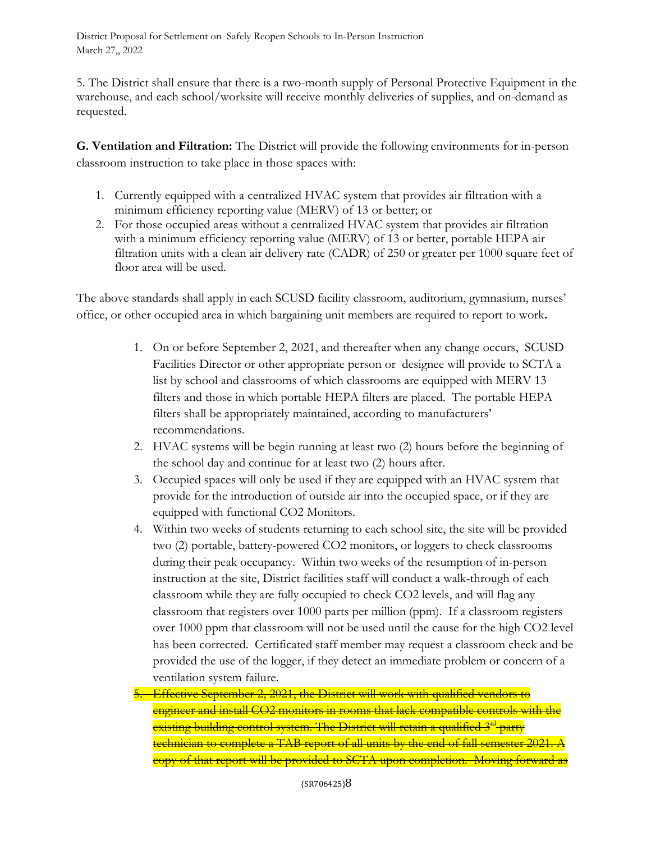5. The District shall ensure that there is a two-month supply of Personal Protective Equipment in the warehouse, and each school/worksite will receive monthly deliveries of supplies, and on-demand as requested.

**G. Ventilation and Filtration:** The District will provide the following environments for in-person classroom instruction to take place in those spaces with:

- 1. Currently equipped with a centralized HVAC system that provides air filtration with a minimum efficiency reporting value (MERV) of 13 or better; or
- 2. For those occupied areas without a centralized HVAC system that provides air filtration with a minimum efficiency reporting value (MERV) of 13 or better, portable HEPA air filtration units with a clean air delivery rate (CADR) of 250 or greater per 1000 square feet of floor area will be used.

The above standards shall apply in each SCUSD facility classroom, auditorium, gymnasium, nurses' office, or other occupied area in which bargaining unit members are required to report to work**.**

- 1. On or before September 2, 2021, and thereafter when any change occurs, SCUSD Facilities Director or other appropriate person or designee will provide to SCTA a list by school and classrooms of which classrooms are equipped with MERV 13 filters and those in which portable HEPA filters are placed. The portable HEPA filters shall be appropriately maintained, according to manufacturers' recommendations.
- 2. HVAC systems will be begin running at least two (2) hours before the beginning of the school day and continue for at least two (2) hours after.
- 3. Occupied spaces will only be used if they are equipped with an HVAC system that provide for the introduction of outside air into the occupied space, or if they are equipped with functional CO2 Monitors.
- 4. Within two weeks of students returning to each school site, the site will be provided two (2) portable, battery-powered CO2 monitors, or loggers to check classrooms during their peak occupancy. Within two weeks of the resumption of in-person instruction at the site, District facilities staff will conduct a walk-through of each classroom while they are fully occupied to check CO2 levels, and will flag any classroom that registers over 1000 parts per million (ppm). If a classroom registers over 1000 ppm that classroom will not be used until the cause for the high CO2 level has been corrected. Certificated staff member may request a classroom check and be provided the use of the logger, if they detect an immediate problem or concern of a ventilation system failure.
- 5. Effective September 2, 2021, the District will work with qualified vendors to engineer and install CO2 monitors in rooms that lack compatible controls with the existing building control system. The District will retain a qualified <sup>3rd</sup> party technician to complete a TAB report of all units by the end of fall semester 2021 copy of that report will be provided to SCTA upon completion. Moving forward as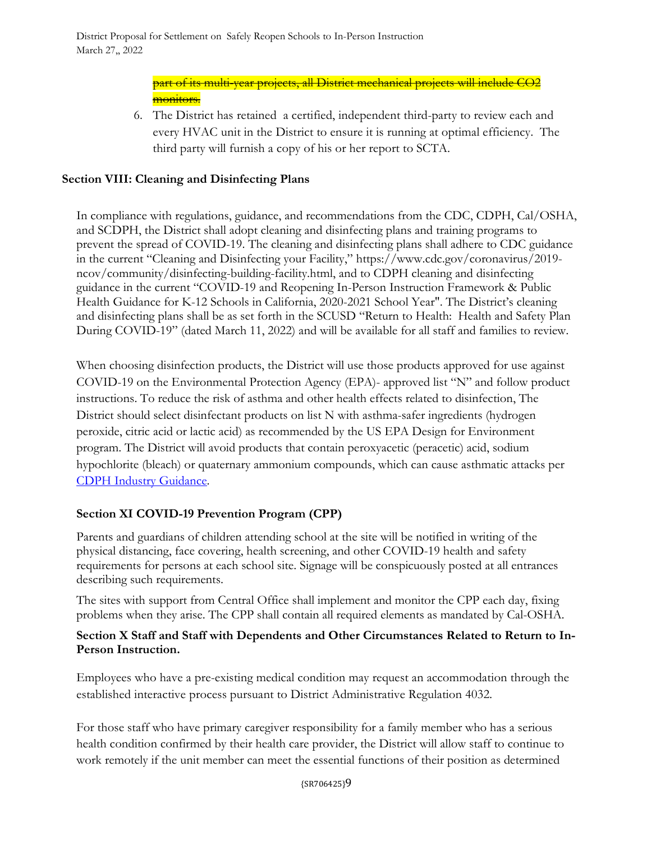part of its multi-year projects, all District mechanical projects will include CO2 monitors.

6. The District has retained a certified, independent third-party to review each and every HVAC unit in the District to ensure it is running at optimal efficiency. The third party will furnish a copy of his or her report to SCTA.

### **Section VIII: Cleaning and Disinfecting Plans**

In compliance with regulations, guidance, and recommendations from the CDC, CDPH, Cal/OSHA, and SCDPH, the District shall adopt cleaning and disinfecting plans and training programs to prevent the spread of COVID-19. The cleaning and disinfecting plans shall adhere to CDC guidance in the current "Cleaning and Disinfecting your Facility," https://www.cdc.gov/coronavirus/2019 ncov/community/disinfecting-building-facility.html, and to CDPH cleaning and disinfecting guidance in the current "COVID-19 and Reopening In-Person Instruction Framework & Public Health Guidance for K-12 Schools in California, 2020-2021 School Year". The District's cleaning and disinfecting plans shall be as set forth in the SCUSD "Return to Health: Health and Safety Plan During COVID-19" (dated March 11, 2022) and will be available for all staff and families to review.

When choosing disinfection products, the District will use those products approved for use against COVID-19 on the Environmental Protection Agency (EPA)- approved list "N" and follow product instructions. To reduce the risk of asthma and other health effects related to disinfection, The District should select disinfectant products on list N with asthma-safer ingredients (hydrogen peroxide, citric acid or lactic acid) as recommended by the US EPA Design for Environment program. The District will avoid products that contain peroxyacetic (peracetic) acid, sodium hypochlorite (bleach) or quaternary ammonium compounds, which can cause asthmatic attacks per [CDPH Industry Guidance.](https://www.cdph.ca.gov/Programs/CID/DCDC/CDPH%20Document%20Library/COVID-19/Consolidated_Schools_Guidance.pdf)

# **Section XI COVID-19 Prevention Program (CPP)**

Parents and guardians of children attending school at the site will be notified in writing of the physical distancing, face covering, health screening, and other COVID-19 health and safety requirements for persons at each school site. Signage will be conspicuously posted at all entrances describing such requirements.

The sites with support from Central Office shall implement and monitor the CPP each day, fixing problems when they arise. The CPP shall contain all required elements as mandated by Cal-OSHA.

### **Section X Staff and Staff with Dependents and Other Circumstances Related to Return to In-Person Instruction.**

Employees who have a pre-existing medical condition may request an accommodation through the established interactive process pursuant to District Administrative Regulation 4032.

For those staff who have primary caregiver responsibility for a family member who has a serious health condition confirmed by their health care provider, the District will allow staff to continue to work remotely if the unit member can meet the essential functions of their position as determined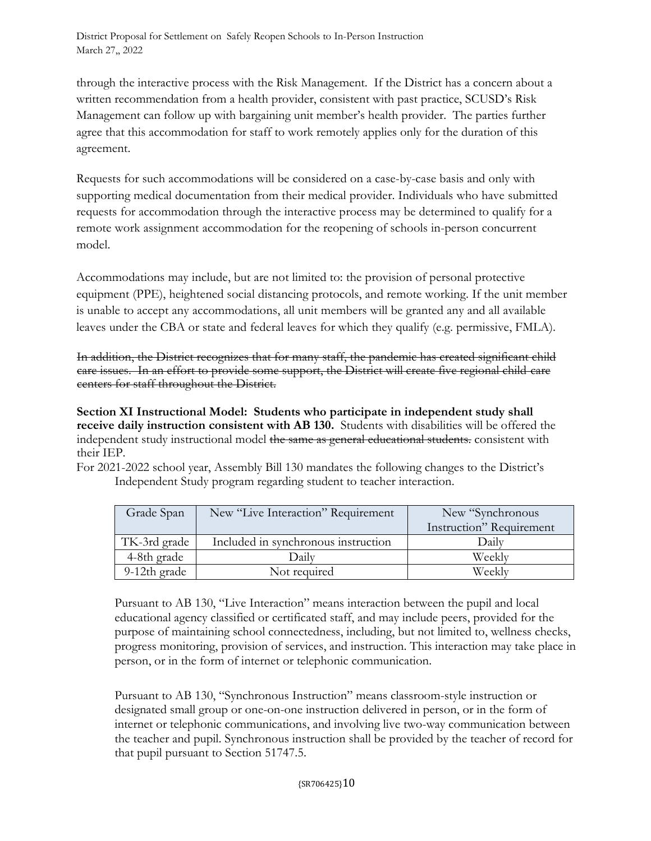through the interactive process with the Risk Management. If the District has a concern about a written recommendation from a health provider, consistent with past practice, SCUSD's Risk Management can follow up with bargaining unit member's health provider. The parties further agree that this accommodation for staff to work remotely applies only for the duration of this agreement.

Requests for such accommodations will be considered on a case-by-case basis and only with supporting medical documentation from their medical provider. Individuals who have submitted requests for accommodation through the interactive process may be determined to qualify for a remote work assignment accommodation for the reopening of schools in-person concurrent model.

Accommodations may include, but are not limited to: the provision of personal protective equipment (PPE), heightened social distancing protocols, and remote working. If the unit member is unable to accept any accommodations, all unit members will be granted any and all available leaves under the CBA or state and federal leaves for which they qualify (e.g. permissive, FMLA).

In addition, the District recognizes that for many staff, the pandemic has created significant child care issues. In an effort to provide some support, the District will create five regional child-care centers for staff throughout the District.

**Section XI Instructional Model: Students who participate in independent study shall receive daily instruction consistent with AB 130.** Students with disabilities will be offered the independent study instructional model the same as general educational students. consistent with their IEP.

For 2021-2022 school year, Assembly Bill 130 mandates the following changes to the District's Independent Study program regarding student to teacher interaction.

| Grade Span   | New "Live Interaction" Requirement  | New "Synchronous<br>Instruction" Requirement |
|--------------|-------------------------------------|----------------------------------------------|
| TK-3rd grade | Included in synchronous instruction | Daily                                        |
| 4-8th grade  | Daily                               | Weekly                                       |
| 9-12th grade | Not required                        | Weekly                                       |

Pursuant to AB 130, "Live Interaction" means interaction between the pupil and local educational agency classified or certificated staff, and may include peers, provided for the purpose of maintaining school connectedness, including, but not limited to, wellness checks, progress monitoring, provision of services, and instruction. This interaction may take place in person, or in the form of internet or telephonic communication.

Pursuant to AB 130, "Synchronous Instruction" means classroom-style instruction or designated small group or one-on-one instruction delivered in person, or in the form of internet or telephonic communications, and involving live two-way communication between the teacher and pupil. Synchronous instruction shall be provided by the teacher of record for that pupil pursuant to Section 51747.5.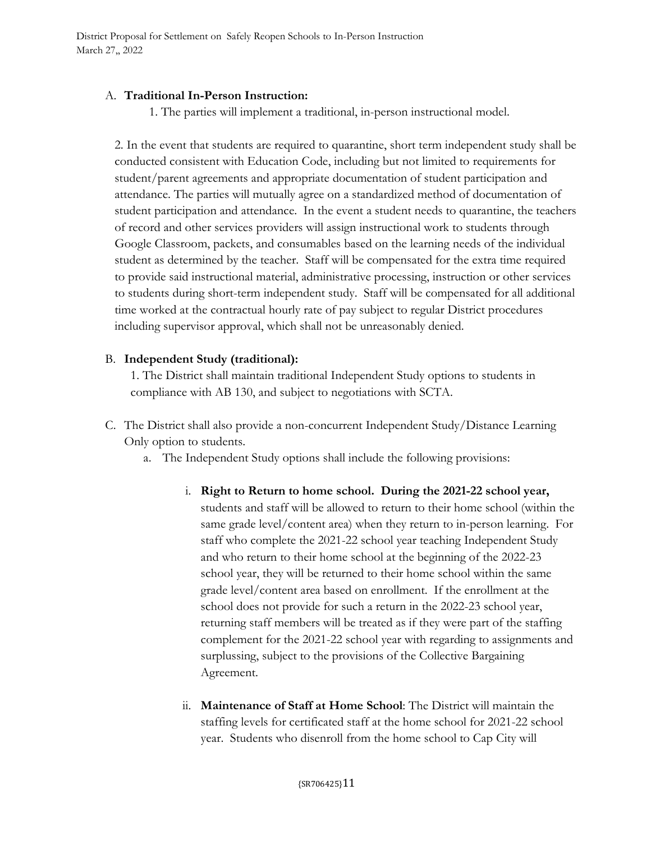#### A. **Traditional In-Person Instruction:**

1. The parties will implement a traditional, in-person instructional model.

2. In the event that students are required to quarantine, short term independent study shall be conducted consistent with Education Code, including but not limited to requirements for student/parent agreements and appropriate documentation of student participation and attendance. The parties will mutually agree on a standardized method of documentation of student participation and attendance. In the event a student needs to quarantine, the teachers of record and other services providers will assign instructional work to students through Google Classroom, packets, and consumables based on the learning needs of the individual student as determined by the teacher. Staff will be compensated for the extra time required to provide said instructional material, administrative processing, instruction or other services to students during short-term independent study. Staff will be compensated for all additional time worked at the contractual hourly rate of pay subject to regular District procedures including supervisor approval, which shall not be unreasonably denied.

#### B. **Independent Study (traditional):**

1. The District shall maintain traditional Independent Study options to students in compliance with AB 130, and subject to negotiations with SCTA.

- C. The District shall also provide a non-concurrent Independent Study/Distance Learning Only option to students.
	- a. The Independent Study options shall include the following provisions:
		- i. **Right to Return to home school. During the 2021-22 school year,**  students and staff will be allowed to return to their home school (within the same grade level/content area) when they return to in-person learning. For staff who complete the 2021-22 school year teaching Independent Study and who return to their home school at the beginning of the 2022-23 school year, they will be returned to their home school within the same grade level/content area based on enrollment. If the enrollment at the school does not provide for such a return in the 2022-23 school year, returning staff members will be treated as if they were part of the staffing complement for the 2021-22 school year with regarding to assignments and surplussing, subject to the provisions of the Collective Bargaining Agreement.
		- ii. **Maintenance of Staff at Home School**: The District will maintain the staffing levels for certificated staff at the home school for 2021-22 school year. Students who disenroll from the home school to Cap City will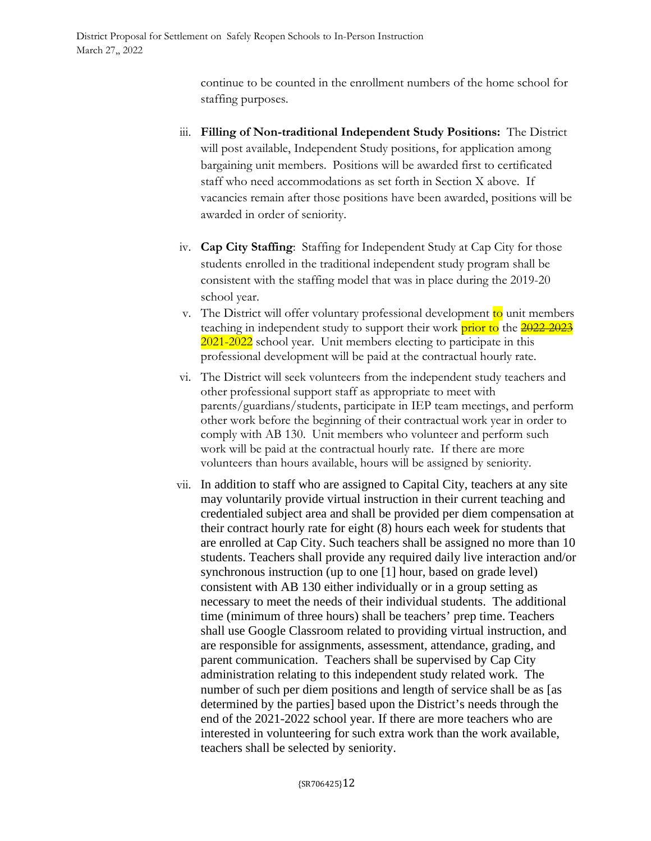continue to be counted in the enrollment numbers of the home school for staffing purposes.

- iii. **Filling of Non-traditional Independent Study Positions:** The District will post available, Independent Study positions, for application among bargaining unit members. Positions will be awarded first to certificated staff who need accommodations as set forth in Section X above. If vacancies remain after those positions have been awarded, positions will be awarded in order of seniority.
- iv. **Cap City Staffing**: Staffing for Independent Study at Cap City for those students enrolled in the traditional independent study program shall be consistent with the staffing model that was in place during the 2019-20 school year.
- v. The District will offer voluntary professional development to unit members teaching in independent study to support their work prior to the 2022-2023 2021-2022 school year. Unit members electing to participate in this professional development will be paid at the contractual hourly rate.
- vi. The District will seek volunteers from the independent study teachers and other professional support staff as appropriate to meet with parents/guardians/students, participate in IEP team meetings, and perform other work before the beginning of their contractual work year in order to comply with AB 130. Unit members who volunteer and perform such work will be paid at the contractual hourly rate. If there are more volunteers than hours available, hours will be assigned by seniority.
- vii. In addition to staff who are assigned to Capital City, teachers at any site may voluntarily provide virtual instruction in their current teaching and credentialed subject area and shall be provided per diem compensation at their contract hourly rate for eight (8) hours each week for students that are enrolled at Cap City. Such teachers shall be assigned no more than 10 students. Teachers shall provide any required daily live interaction and/or synchronous instruction (up to one [1] hour, based on grade level) consistent with AB 130 either individually or in a group setting as necessary to meet the needs of their individual students. The additional time (minimum of three hours) shall be teachers' prep time. Teachers shall use Google Classroom related to providing virtual instruction, and are responsible for assignments, assessment, attendance, grading, and parent communication. Teachers shall be supervised by Cap City administration relating to this independent study related work. The number of such per diem positions and length of service shall be as [as determined by the parties] based upon the District's needs through the end of the 2021-2022 school year. If there are more teachers who are interested in volunteering for such extra work than the work available, teachers shall be selected by seniority.